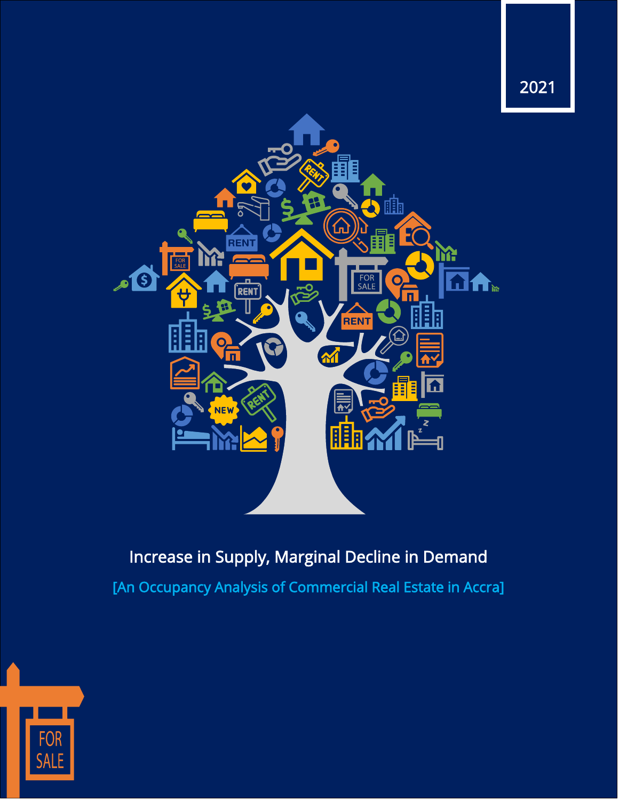

# Increase in Supply, Marginal Decline in Demand [An Occupancy Analysis of Commercial Real Estate in Accra]



2021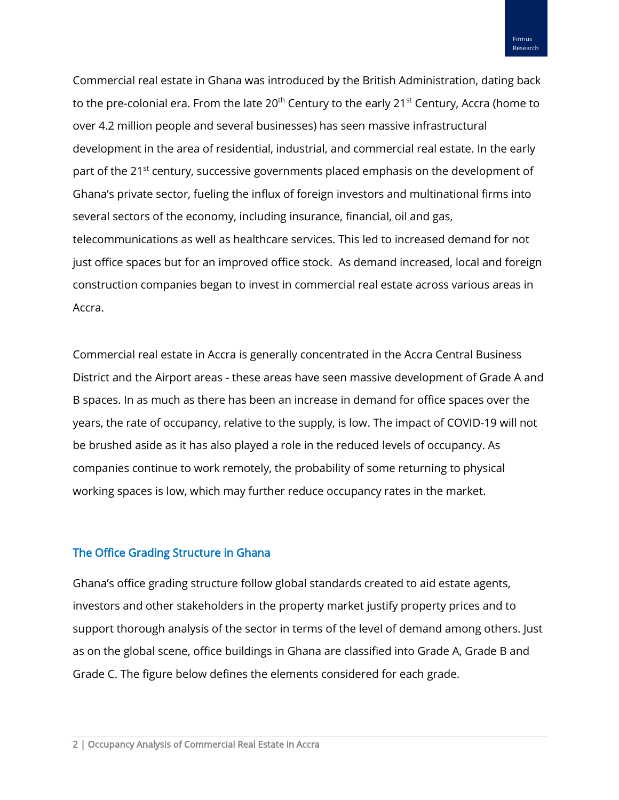

Commercial real estate in Ghana was introduced by the British Administration, dating back to the pre-colonial era. From the late  $20<sup>th</sup>$  Century to the early  $21<sup>st</sup>$  Century, Accra (home to over 4.2 million people and several businesses) has seen massive infrastructural development in the area of residential, industrial, and commercial real estate. In the early part of the 21<sup>st</sup> century, successive governments placed emphasis on the development of Ghana's private sector, fueling the influx of foreign investors and multinational firms into several sectors of the economy, including insurance, financial, oil and gas, telecommunications as well as healthcare services. This led to increased demand for not just office spaces but for an improved office stock. As demand increased, local and foreign construction companies began to invest in commercial real estate across various areas in Accra.

Commercial real estate in Accra is generally concentrated in the Accra Central Business District and the Airport areas - these areas have seen massive development of Grade A and B spaces. In as much as there has been an increase in demand for office spaces over the years, the rate of occupancy, relative to the supply, is low. The impact of COVID-19 will not be brushed aside as it has also played a role in the reduced levels of occupancy. As companies continue to work remotely, the probability of some returning to physical working spaces is low, which may further reduce occupancy rates in the market.

### The Office Grading Structure in Ghana

Ghana's office grading structure follow global standards created to aid estate agents, investors and other stakeholders in the property market justify property prices and to support thorough analysis of the sector in terms of the level of demand among others. Just as on the global scene, office buildings in Ghana are classified into Grade A, Grade B and Grade C. The figure below defines the elements considered for each grade.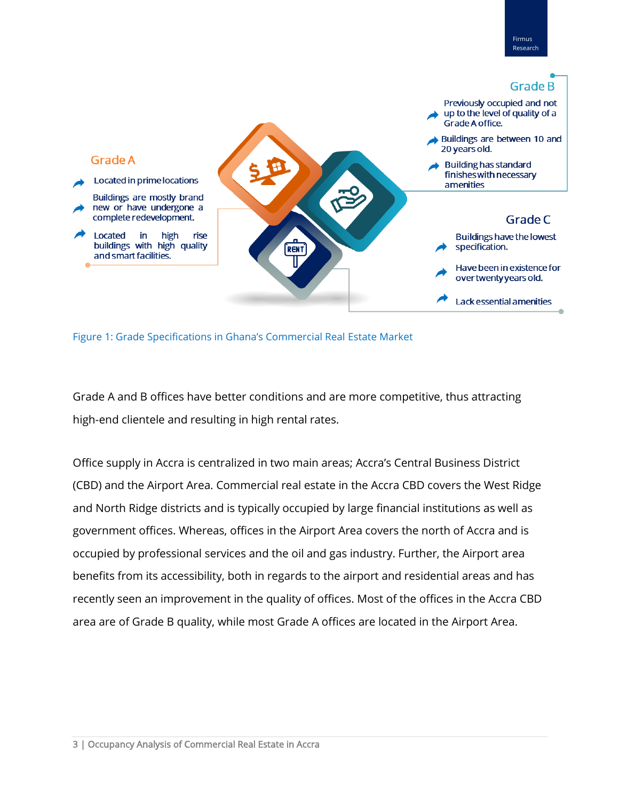



Figure 1: Grade Specifications in Ghana's Commercial Real Estate Market

Grade A and B offices have better conditions and are more competitive, thus attracting high-end clientele and resulting in high rental rates.

Office supply in Accra is centralized in two main areas; Accra's Central Business District (CBD) and the Airport Area. Commercial real estate in the Accra CBD covers the West Ridge and North Ridge districts and is typically occupied by large financial institutions as well as government offices. Whereas, offices in the Airport Area covers the north of Accra and is occupied by professional services and the oil and gas industry. Further, the Airport area benefits from its accessibility, both in regards to the airport and residential areas and has recently seen an improvement in the quality of offices. Most of the offices in the Accra CBD area are of Grade B quality, while most Grade A offices are located in the Airport Area.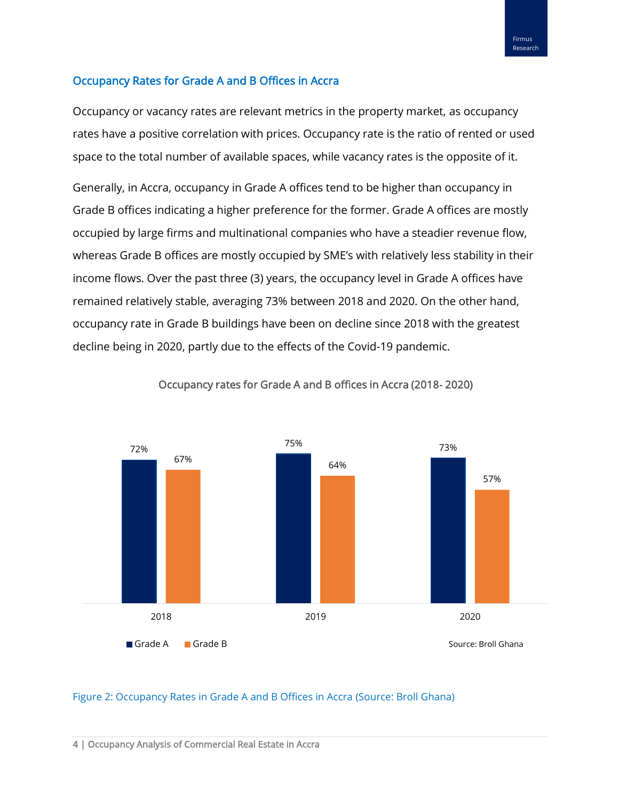

# Occupancy Rates for Grade A and B Offices in Accra

Occupancy or vacancy rates are relevant metrics in the property market, as occupancy rates have a positive correlation with prices. Occupancy rate is the ratio of rented or used space to the total number of available spaces, while vacancy rates is the opposite of it.

Generally, in Accra, occupancy in Grade A offices tend to be higher than occupancy in Grade B offices indicating a higher preference for the former. Grade A offices are mostly occupied by large firms and multinational companies who have a steadier revenue flow, whereas Grade B offices are mostly occupied by SME's with relatively less stability in their income flows. Over the past three (3) years, the occupancy level in Grade A offices have remained relatively stable, averaging 73% between 2018 and 2020. On the other hand, occupancy rate in Grade B buildings have been on decline since 2018 with the greatest decline being in 2020, partly due to the effects of the Covid-19 pandemic.



Occupancy rates for Grade A and B offices in Accra (2018- 2020)

#### Figure 2: Occupancy Rates in Grade A and B Offices in Accra (Source: Broll Ghana)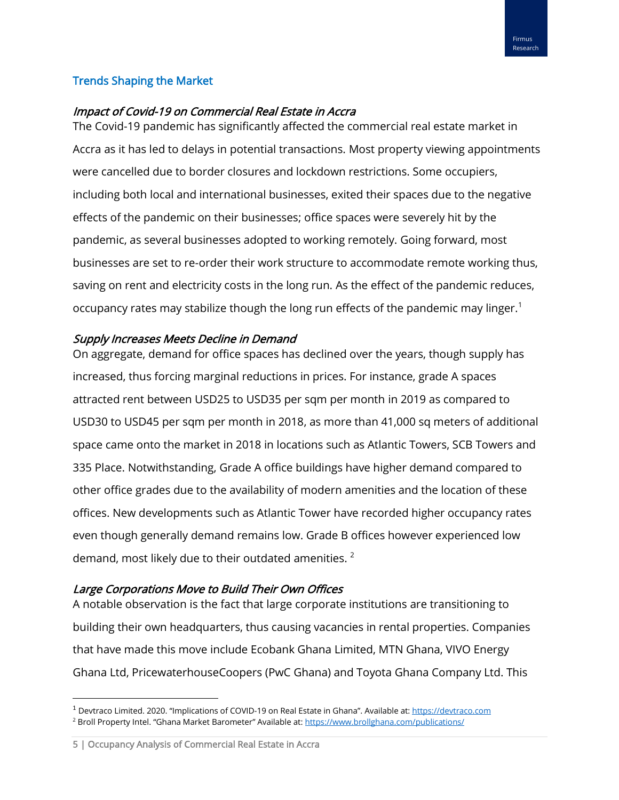

# Trends Shaping the Market

# Impact of Covid-19 on Commercial Real Estate in Accra

The Covid-19 pandemic has significantly affected the commercial real estate market in Accra as it has led to delays in potential transactions. Most property viewing appointments were cancelled due to border closures and lockdown restrictions. Some occupiers, including both local and international businesses, exited their spaces due to the negative effects of the pandemic on their businesses; office spaces were severely hit by the pandemic, as several businesses adopted to working remotely. Going forward, most businesses are set to re-order their work structure to accommodate remote working thus, saving on rent and electricity costs in the long run. As the effect of the pandemic reduces, occupancy rates may stabilize though the long run effects of the pandemic may linger.<sup>1</sup>

### Supply Increases Meets Decline in Demand

On aggregate, demand for office spaces has declined over the years, though supply has increased, thus forcing marginal reductions in prices. For instance, grade A spaces attracted rent between USD25 to USD35 per sqm per month in 2019 as compared to USD30 to USD45 per sqm per month in 2018, as more than 41,000 sq meters of additional space came onto the market in 2018 in locations such as Atlantic Towers, SCB Towers and 335 Place. Notwithstanding, Grade A office buildings have higher demand compared to other office grades due to the availability of modern amenities and the location of these offices. New developments such as Atlantic Tower have recorded higher occupancy rates even though generally demand remains low. Grade B offices however experienced low demand, most likely due to their outdated amenities. <sup>2</sup>

### Large Corporations Move to Build Their Own Offices

A notable observation is the fact that large corporate institutions are transitioning to building their own headquarters, thus causing vacancies in rental properties. Companies that have made this move include Ecobank Ghana Limited, MTN Ghana, VIVO Energy Ghana Ltd, PricewaterhouseCoopers (PwC Ghana) and Toyota Ghana Company Ltd. This

<sup>&</sup>lt;sup>1</sup> Devtraco Limited. 2020. "Implications of COVID-19 on Real Estate in Ghana". Available at[: https://devtraco.com](https://devtraco.com/)

<sup>&</sup>lt;sup>2</sup> Broll Property Intel. "Ghana Market Barometer" Available at: <https://www.brollghana.com/publications/>

<sup>5 |</sup> Occupancy Analysis of Commercial Real Estate in Accra